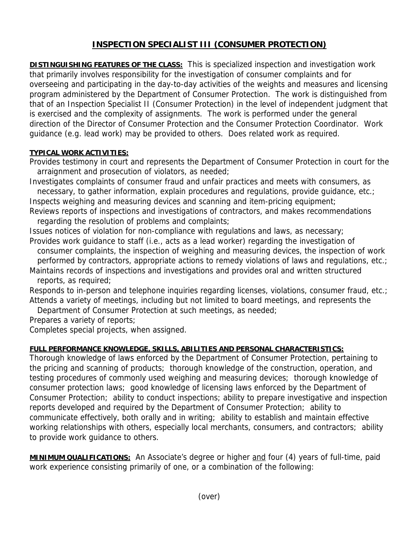## **INSPECTION SPECIALIST III (CONSUMER PROTECTION)**

**DISTINGUISHING FEATURES OF THE CLASS:** This is specialized inspection and investigation work that primarily involves responsibility for the investigation of consumer complaints and for overseeing and participating in the day-to-day activities of the weights and measures and licensing program administered by the Department of Consumer Protection. The work is distinguished from that of an Inspection Specialist II (Consumer Protection) in the level of independent judgment that is exercised and the complexity of assignments. The work is performed under the general direction of the Director of Consumer Protection and the Consumer Protection Coordinator. Work guidance (e.g. lead work) may be provided to others. Does related work as required.

## **TYPICAL WORK ACTIVITIES:**

Provides testimony in court and represents the Department of Consumer Protection in court for the arraignment and prosecution of violators, as needed;

Investigates complaints of consumer fraud and unfair practices and meets with consumers, as necessary, to gather information, explain procedures and regulations, provide guidance, etc.;

Inspects weighing and measuring devices and scanning and item-pricing equipment; Reviews reports of inspections and investigations of contractors, and makes recommendations

regarding the resolution of problems and complaints;

Issues notices of violation for non-compliance with regulations and laws, as necessary; Provides work guidance to staff (i.e., acts as a lead worker) regarding the investigation of

 consumer complaints, the inspection of weighing and measuring devices, the inspection of work performed by contractors, appropriate actions to remedy violations of laws and regulations, etc.;

Maintains records of inspections and investigations and provides oral and written structured reports, as required;

Responds to in-person and telephone inquiries regarding licenses, violations, consumer fraud, etc.; Attends a variety of meetings, including but not limited to board meetings, and represents the

Department of Consumer Protection at such meetings, as needed;

Prepares a variety of reports;

Completes special projects, when assigned.

## **FULL PERFORMANCE KNOWLEDGE, SKILLS, ABILITIES AND PERSONAL CHARACTERISTICS:**

Thorough knowledge of laws enforced by the Department of Consumer Protection, pertaining to the pricing and scanning of products; thorough knowledge of the construction, operation, and testing procedures of commonly used weighing and measuring devices; thorough knowledge of consumer protection laws; good knowledge of licensing laws enforced by the Department of Consumer Protection; ability to conduct inspections; ability to prepare investigative and inspection reports developed and required by the Department of Consumer Protection; ability to communicate effectively, both orally and in writing; ability to establish and maintain effective working relationships with others, especially local merchants, consumers, and contractors; ability to provide work guidance to others.

**MINIMUM QUALIFICATIONS:** An Associate's degree or higher and four (4) years of full-time, paid work experience consisting primarily of one, or a combination of the following: